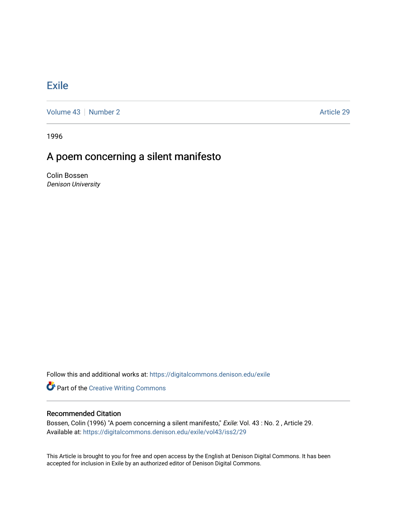## [Exile](https://digitalcommons.denison.edu/exile)

[Volume 43](https://digitalcommons.denison.edu/exile/vol43) [Number 2](https://digitalcommons.denison.edu/exile/vol43/iss2) Article 29

1996

## A poem concerning a silent manifesto

Colin Bossen Denison University

Follow this and additional works at: [https://digitalcommons.denison.edu/exile](https://digitalcommons.denison.edu/exile?utm_source=digitalcommons.denison.edu%2Fexile%2Fvol43%2Fiss2%2F29&utm_medium=PDF&utm_campaign=PDFCoverPages) 

**Part of the Creative Writing Commons** 

## Recommended Citation

Bossen, Colin (1996) "A poem concerning a silent manifesto," Exile: Vol. 43 : No. 2, Article 29. Available at: [https://digitalcommons.denison.edu/exile/vol43/iss2/29](https://digitalcommons.denison.edu/exile/vol43/iss2/29?utm_source=digitalcommons.denison.edu%2Fexile%2Fvol43%2Fiss2%2F29&utm_medium=PDF&utm_campaign=PDFCoverPages)

This Article is brought to you for free and open access by the English at Denison Digital Commons. It has been accepted for inclusion in Exile by an authorized editor of Denison Digital Commons.